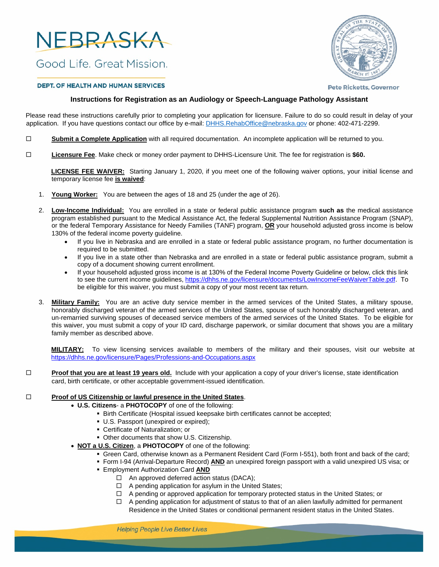

Good Life, Great Mission.



## **DEPT. OF HEALTH AND HUMAN SERVICES**

**Pete Ricketts, Governor** 

# **Instructions for Registration as an Audiology or Speech-Language Pathology Assistant**

Please read these instructions carefully prior to completing your application for licensure. Failure to do so could result in delay of your application. If you have questions contact our office by e-mail: [DHHS.RehabOffice@nebraska.gov](mailto:DHHS.RehabOffice@nebraska.gov) or phone: 402-471-2299.

- **Submit a Complete Application** with all required documentation. An incomplete application will be returned to you.
- **Licensure Fee**. Make check or money order payment to DHHS-Licensure Unit. The fee for registration is **\$60.**

**LICENSE FEE WAIVER:** Starting January 1, 2020, if you meet one of the following waiver options, your initial license and temporary license fee **is waived**:

- 1. **Young Worker:** You are between the ages of 18 and 25 (under the age of 26).
- 2. **Low-Income Individual:** You are enrolled in a state or federal public assistance program **such as** the medical assistance program established pursuant to the Medical Assistance Act, the federal Supplemental Nutrition Assistance Program (SNAP), or the federal Temporary Assistance for Needy Families (TANF) program, **OR** your household adjusted gross income is below 130% of the federal income poverty guideline.
	- If you live in Nebraska and are enrolled in a state or federal public assistance program, no further documentation is required to be submitted.
	- If you live in a state other than Nebraska and are enrolled in a state or federal public assistance program, submit a copy of a document showing current enrollment.
	- If your household adjusted gross income is at 130% of the Federal Income Poverty Guideline or below, click this link to see the current income guidelines, https[://dhhs.ne.gov/licensure/documents/LowIncomeFeeWaiverTable.pdf.](https://dhhs.ne.gov/licensure/documents/lowincomefeewaivertable.pdf) To be eligible for this waiver, you must submit a copy of your most recent tax return.
- 3. **Military Family:** You are an active duty service member in the armed services of the United States, a military spouse, honorably discharged veteran of the armed services of the United States, spouse of such honorably discharged veteran, and un-remarried surviving spouses of deceased service members of the armed services of the United States. To be eligible for this waiver, you must submit a copy of your ID card, discharge paperwork, or similar document that shows you are a military family member as described above.

**MILITARY:** To view licensing services available to members of the military and their spouses, visit our website at https[://dhhs.ne.gov/licensure/Pages/Professions-and-Occupations.aspx](https://dhhs.ne.gov/licensure/pages/professions-and-occupations.aspx)

**□** Proof that you are at least 19 years old. Include with your application a copy of your driver's license, state identification card, birth certificate, or other acceptable government-issued identification.

## **Proof of US Citizenship or lawful presence in the United States.**

- **U.S. Citizens** a **PHOTOCOPY** of one of the following:
	- **Birth Certificate (Hospital issued keepsake birth certificates cannot be accepted;**
	- U.S. Passport (unexpired or expired);
	- Certificate of Naturalization; or
	- **Other documents that show U.S. Citizenship.**
- **NOT a U.S. Citizen**, a **PHOTOCOPY** of one of the following:
	- Green Card, otherwise known as a Permanent Resident Card (Form I-551), both front and back of the card;
	- Form I-94 (Arrival-Departure Record) **AND** an unexpired foreign passport with a valid unexpired US visa; or
	- Employment Authorization Card **AND**
		- $\Box$  An approved deferred action status (DACA);
		- $\Box$  A pending application for asylum in the United States;
		- □ A pending or approved application for temporary protected status in the United States; or
		- $\Box$  A pending application for adjustment of status to that of an alien lawfully admitted for permanent Residence in the United States or conditional permanent resident status in the United States.

**Helping People Live Better Lives**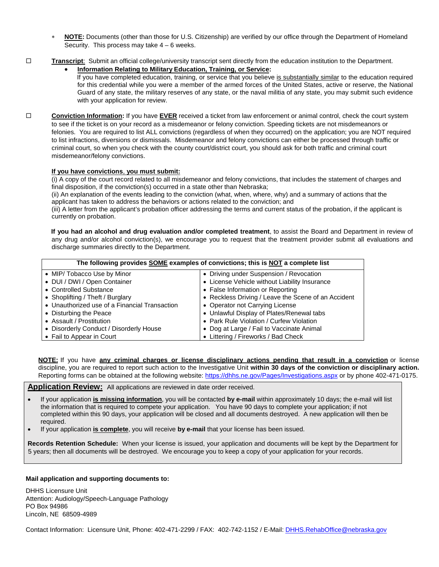- **NOTE:** Documents (other than those for U.S. Citizenship) are verified by our office through the Department of Homeland Security. This process may take  $4 - 6$  weeks.
- **Transcript**:Submit an official college/university transcript sent directly from the education institution to the Department.
	- **Information Relating to Military Education, Training, or Service:**
		- If you have completed education, training, or service that you believe is substantially similar to the education required for this credential while you were a member of the armed forces of the United States, active or reserve, the National Guard of any state, the military reserves of any state, or the naval militia of any state, you may submit such evidence with your application for review.
- **Conviction Information:** If you have **EVER** received a ticket from law enforcement or animal control, check the court system to see if the ticket is on your record as a misdemeanor or felony conviction. Speeding tickets are not misdemeanors or felonies. You are required to list ALL convictions (regardless of when they occurred) on the application; you are NOT required to list infractions, diversions or dismissals. Misdemeanor and felony convictions can either be processed through traffic or criminal court, so when you check with the county court/district court, you should ask for both traffic and criminal court misdemeanor/felony convictions.

## **If you have convictions**, **you must submit:**

(i) A copy of the court record related to all misdemeanor and felony convictions, that includes the statement of charges and final disposition, if the conviction(s) occurred in a state other than Nebraska;

(ii) An explanation of the events leading to the conviction (what, when, where, why) and a summary of actions that the applicant has taken to address the behaviors or actions related to the conviction; and

(iii) A letter from the applicant's probation officer addressing the terms and current status of the probation, if the applicant is currently on probation.

**If you had an alcohol and drug evaluation and/or completed treatment**, to assist the Board and Department in review of any drug and/or alcohol conviction(s), we encourage you to request that the treatment provider submit all evaluations and discharge summaries directly to the Department.

| The following provides SOME examples of convictions; this is NOT a complete list |                                                     |  |  |  |  |
|----------------------------------------------------------------------------------|-----------------------------------------------------|--|--|--|--|
| • MIP/ Tobacco Use by Minor                                                      | • Driving under Suspension / Revocation             |  |  |  |  |
| • DUI / DWI / Open Container                                                     | • License Vehicle without Liability Insurance       |  |  |  |  |
| • Controlled Substance                                                           | • False Information or Reporting                    |  |  |  |  |
| • Shoplifting / Theft / Burglary                                                 | • Reckless Driving / Leave the Scene of an Accident |  |  |  |  |
| • Unauthorized use of a Financial Transaction                                    | • Operator not Carrying License                     |  |  |  |  |
| • Disturbing the Peace                                                           | • Unlawful Display of Plates/Renewal tabs           |  |  |  |  |
| • Assault / Prostitution                                                         | • Park Rule Violation / Curfew Violation            |  |  |  |  |
| • Disorderly Conduct / Disorderly House                                          | • Dog at Large / Fail to Vaccinate Animal           |  |  |  |  |
| • Fail to Appear in Court                                                        | • Littering / Fireworks / Bad Check                 |  |  |  |  |

**NOTE:** If you have **any criminal charges or license disciplinary actions pending that result in a conviction** or license discipline, you are required to report such action to the Investigative Unit **within 30 days of the conviction or disciplinary action.**  Reporting forms can be obtained at the following website: https[://dhhs.ne.gov/Pages/Investigations.aspx](https://dhhs.ne.gov/pages/investigations.aspx) or by phone 402-471-0175.

Application Review: All applications are reviewed in date order received.

- If your application **is missing information**, you will be contacted **by e-mail** within approximately 10 days; the e-mail will list the information that is required to compete your application. You have 90 days to complete your application; if not completed within this 90 days, your application will be closed and all documents destroyed. A new application will then be required.
- If your application **is complete**, you will receive **by e-mail** that your license has been issued.

**Records Retention Schedule:** When your license is issued, your application and documents will be kept by the Department for 5 years; then all documents will be destroyed. We encourage you to keep a copy of your application for your records.

# **Mail application and supporting documents to:**

DHHS Licensure Unit Attention: Audiology/Speech-Language Pathology PO Box 94986 Lincoln, NE 68509-4989

Contact Information: Licensure Unit, Phone: 402-471-2299 / FAX: 402-742-1152 / E-Mail: [DHHS.RehabOffice@nebraska.gov](mailto:DHHS.RehabOffice@nebraska.gov)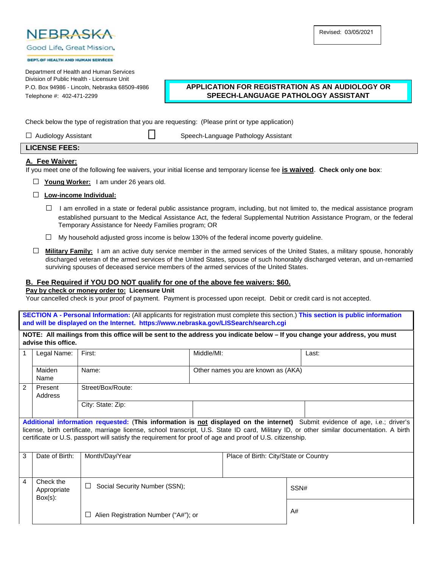

Good Life, Great Mission,

#### DEPT OF HEALTH AND HUMAN SERVICES

Department of Health and Human Services Division of Public Health - Licensure Unit

# P.O. Box 94986 - Lincoln, Nebraska 68509-4986 **APPLICATION FOR REGISTRATION AS AN AUDIOLOGY OR** Telephone #: 402-471-2299 **SPEECH-LANGUAGE PATHOLOGY ASSISTANT**

Check below the type of registration that you are requesting: (Please print or type application)

□ Audiology Assistant □ Speech-Language Pathology Assistant

# **LICENSE FEES:**

# **A. Fee Waiver:**

If you meet one of the following fee waivers, your initial license and temporary license fee **is waived**. **Check only one box**:

- □ **Young Worker:** I am under 26 years old.
- □ **Low-income Individual:**
	- $\Box$  I am enrolled in a state or federal public assistance program, including, but not limited to, the medical assistance program established pursuant to the Medical Assistance Act, the federal Supplemental Nutrition Assistance Program, or the federal Temporary Assistance for Needy Families program; OR
	- $\Box$  My household adjusted gross income is below 130% of the federal income poverty quideline.
- □ **Military Family:** I am an active duty service member in the armed services of the United States, a military spouse, honorably discharged veteran of the armed services of the United States, spouse of such honorably discharged veteran, and un-remarried surviving spouses of deceased service members of the armed services of the United States.

# **B. Fee Required if YOU DO NOT qualify for one of the above fee waivers: \$60.**

## **Pay by check or money order to: Licensure Unit**

Your cancelled check is your proof of payment. Payment is processed upon receipt. Debit or credit card is not accepted.

**SECTION A - Personal Information:** (All applicants for registration must complete this section.) **This section is public information and will be displayed on the Internet. https://www.nebraska.gov/LISSearch/search.cgi**

| NOTE: All mailings from this office will be sent to the address you indicate below - If you change your address, you must |
|---------------------------------------------------------------------------------------------------------------------------|
| advise this office.                                                                                                       |

| $\mathbf 1$                                                                                                                                                                                                                                                                                                                                                                            | Legal Name:                            | First:                                  | Middle/MI: |                                       | Last: |
|----------------------------------------------------------------------------------------------------------------------------------------------------------------------------------------------------------------------------------------------------------------------------------------------------------------------------------------------------------------------------------------|----------------------------------------|-----------------------------------------|------------|---------------------------------------|-------|
|                                                                                                                                                                                                                                                                                                                                                                                        | Maiden<br>Name                         | Name:                                   |            | Other names you are known as (AKA)    |       |
| $\overline{2}$                                                                                                                                                                                                                                                                                                                                                                         | Present<br>Address                     | Street/Box/Route:                       |            |                                       |       |
|                                                                                                                                                                                                                                                                                                                                                                                        |                                        | City: State: Zip:                       |            |                                       |       |
| Additional information requested: (This information is not displayed on the internet) Submit evidence of age, i.e.; driver's<br>license, birth certificate, marriage license, school transcript, U.S. State ID card, Military ID, or other similar documentation. A birth<br>certificate or U.S. passport will satisfy the requirement for proof of age and proof of U.S. citizenship. |                                        |                                         |            |                                       |       |
| 3                                                                                                                                                                                                                                                                                                                                                                                      | Date of Birth:                         | Month/Day/Year                          |            | Place of Birth: City/State or Country |       |
| $\overline{4}$                                                                                                                                                                                                                                                                                                                                                                         | Check the<br>Appropriate<br>$Box(s)$ : | Social Security Number (SSN);<br>$\Box$ |            |                                       | SSN#  |
|                                                                                                                                                                                                                                                                                                                                                                                        |                                        | Alien Registration Number ("A#"); or    |            |                                       | A#    |

Revised: 03/05/2021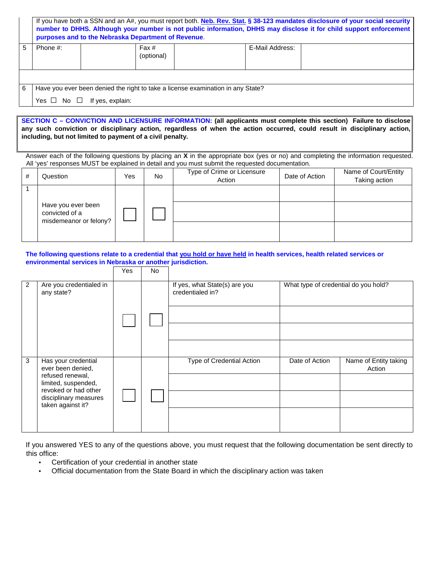|                                                        | If you have both a SSN and an A#, you must report both. Neb. Rev. Stat. § 38-123 mandates disclosure of your social security<br>number to DHHS. Although your number is not public information, DHHS may disclose it for child support enforcement<br>purposes and to the Nebraska Department of Revenue. |  |  |  |  |  |  |  |
|--------------------------------------------------------|-----------------------------------------------------------------------------------------------------------------------------------------------------------------------------------------------------------------------------------------------------------------------------------------------------------|--|--|--|--|--|--|--|
| 5<br>E-Mail Address:<br>Fax#<br>Phone #:<br>(optional) |                                                                                                                                                                                                                                                                                                           |  |  |  |  |  |  |  |
|                                                        |                                                                                                                                                                                                                                                                                                           |  |  |  |  |  |  |  |
| 6                                                      | Have you ever been denied the right to take a license examination in any State?                                                                                                                                                                                                                           |  |  |  |  |  |  |  |
|                                                        | Yes $\Box$ No $\Box$ If yes, explain:                                                                                                                                                                                                                                                                     |  |  |  |  |  |  |  |

**SECTION C – CONVICTION AND LICENSURE INFORMATION: (all applicants must complete this section) Failure to disclose any such conviction or disciplinary action, regardless of when the action occurred, could result in disciplinary action, including, but not limited to payment of a civil penalty.**

Answer each of the following questions by placing an **X** in the appropriate box (yes or no) and completing the information requested. All 'yes' responses MUST be explained in detail and you must submit the requested documentation.

| # | Question                                                       | Yes | No. | Type of Crime or Licensure<br>Action | Date of Action | Name of Court/Entity<br>Taking action |
|---|----------------------------------------------------------------|-----|-----|--------------------------------------|----------------|---------------------------------------|
|   | Have you ever been<br>convicted of a<br>misdemeanor or felony? |     |     |                                      |                |                                       |

**The following questions relate to a credential that you hold or have held in health services, health related services or environmental services in Nebraska or another jurisdiction.** 

|                |                                                                                                                                                           | Yes | No. |                                                   |                                      |                                 |
|----------------|-----------------------------------------------------------------------------------------------------------------------------------------------------------|-----|-----|---------------------------------------------------|--------------------------------------|---------------------------------|
| $\overline{2}$ | Are you credentialed in<br>any state?                                                                                                                     |     |     | If yes, what State(s) are you<br>credentialed in? | What type of credential do you hold? |                                 |
| 3              | Has your credential<br>ever been denied,<br>refused renewal,<br>limited, suspended,<br>revoked or had other<br>disciplinary measures<br>taken against it? |     |     | Type of Credential Action                         | Date of Action                       | Name of Entity taking<br>Action |

If you answered YES to any of the questions above, you must request that the following documentation be sent directly to this office:

- Certification of your credential in another state
- Official documentation from the State Board in which the disciplinary action was taken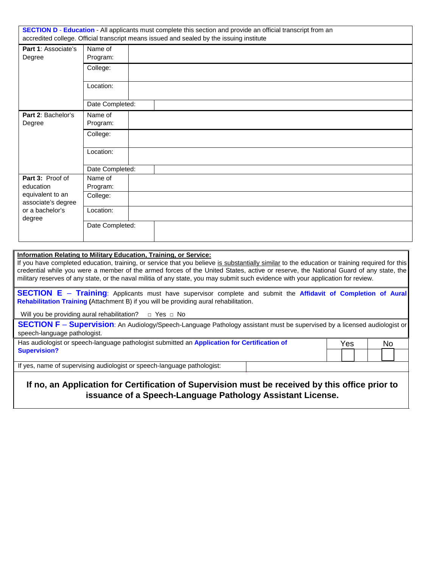| SECTION D - Education - All applicants must complete this section and provide an official transcript from an<br>accredited college. Official transcript means issued and sealed by the issuing institute |                 |  |  |  |
|----------------------------------------------------------------------------------------------------------------------------------------------------------------------------------------------------------|-----------------|--|--|--|
| <b>Part 1: Associate's</b>                                                                                                                                                                               | Name of         |  |  |  |
| Degree                                                                                                                                                                                                   | Program:        |  |  |  |
|                                                                                                                                                                                                          | College:        |  |  |  |
|                                                                                                                                                                                                          | Location:       |  |  |  |
|                                                                                                                                                                                                          | Date Completed: |  |  |  |
| Part 2: Bachelor's                                                                                                                                                                                       | Name of         |  |  |  |
| Degree                                                                                                                                                                                                   | Program:        |  |  |  |
|                                                                                                                                                                                                          | College:        |  |  |  |
|                                                                                                                                                                                                          | Location:       |  |  |  |
|                                                                                                                                                                                                          | Date Completed: |  |  |  |
| Part 3: Proof of                                                                                                                                                                                         | Name of         |  |  |  |
| education                                                                                                                                                                                                | Program:        |  |  |  |
| equivalent to an<br>associate's degree                                                                                                                                                                   | College:        |  |  |  |
| or a bachelor's<br>degree                                                                                                                                                                                | Location:       |  |  |  |
|                                                                                                                                                                                                          | Date Completed: |  |  |  |

# **Information Relating to Military Education, Training, or Service:**

If you have completed education, training, or service that you believe is substantially similar to the education or training required for this credential while you were a member of the armed forces of the United States, active or reserve, the National Guard of any state, the military reserves of any state, or the naval militia of any state, you may submit such evidence with your application for review.

**SECTION E** – **Training**: Applicants must have supervisor complete and submit the **Affidavit of Completion of Aural Rehabilitation Training (**Attachment B) if you will be providing aural rehabilitation.

Will you be providing aural rehabilitation?  $□$  Yes  $□$  No

|                              | <b>SECTION F - Supervision:</b> An Audiology/Speech-Language Pathology assistant must be supervised by a licensed audiologist or |  |
|------------------------------|----------------------------------------------------------------------------------------------------------------------------------|--|
| speech-language pathologist. |                                                                                                                                  |  |

| Has audiologist or speech-language pathologist submitted an Application for Certification of | Yes.   |  |  | No. |  |  |
|----------------------------------------------------------------------------------------------|--------|--|--|-----|--|--|
| <b>Supervision?</b>                                                                          | $\Box$ |  |  |     |  |  |

If yes, name of supervising audiologist or speech-language pathologist:

# **If no, an Application for Certification of Supervision must be received by this office prior to issuance of a Speech-Language Pathology Assistant License.**